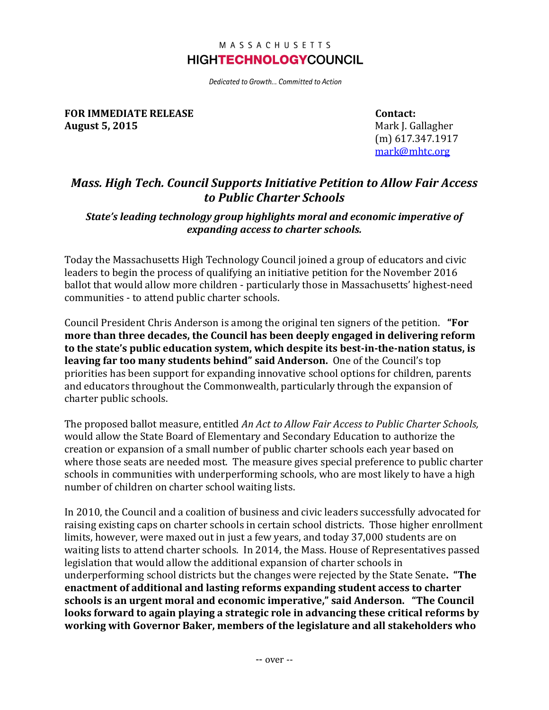## MASSACHUSETTS **HIGHTECHNOLOGY**COUNCIL

Dedicated to Growth... Committed to Action

**FOR IMMEDIATE RELEASE August 5, 2015**

**Contact:** Mark J. Gallagher (m) 617.347.1917 [mark@mhtc.org](mailto:chris@mhtc.org)

# *Mass. High Tech. Council Supports Initiative Petition to Allow Fair Access to Public Charter Schools*

### *State's leading technology group highlights moral and economic imperative of expanding access to charter schools.*

Today the Massachusetts High Technology Council joined a group of educators and civic leaders to begin the process of qualifying an initiative petition for the November 2016 ballot that would allow more children - particularly those in Massachusetts' highest-need communities - to attend public charter schools.

Council President Chris Anderson is among the original ten signers of the petition. **"For more than three decades, the Council has been deeply engaged in delivering reform to the state's public education system, which despite its best-in-the-nation status, is leaving far too many students behind" said Anderson.** One of the Council's top priorities has been support for expanding innovative school options for children, parents and educators throughout the Commonwealth, particularly through the expansion of charter public schools.

The proposed ballot measure, entitled *An Act to Allow Fair Access to Public Charter Schools,* would allow the State Board of Elementary and Secondary Education to authorize the creation or expansion of a small number of public charter schools each year based on where those seats are needed most. The measure gives special preference to public charter schools in communities with underperforming schools, who are most likely to have a high number of children on charter school waiting lists.

In 2010, the Council and a coalition of business and civic leaders successfully advocated for raising existing caps on charter schools in certain school districts. Those higher enrollment limits, however, were maxed out in just a few years, and today 37,000 students are on waiting lists to attend charter schools. In 2014, the Mass. House of Representatives passed legislation that would allow the additional expansion of charter schools in underperforming school districts but the changes were rejected by the State Senate**. "The enactment of additional and lasting reforms expanding student access to charter schools is an urgent moral and economic imperative," said Anderson. "The Council looks forward to again playing a strategic role in advancing these critical reforms by working with Governor Baker, members of the legislature and all stakeholders who**